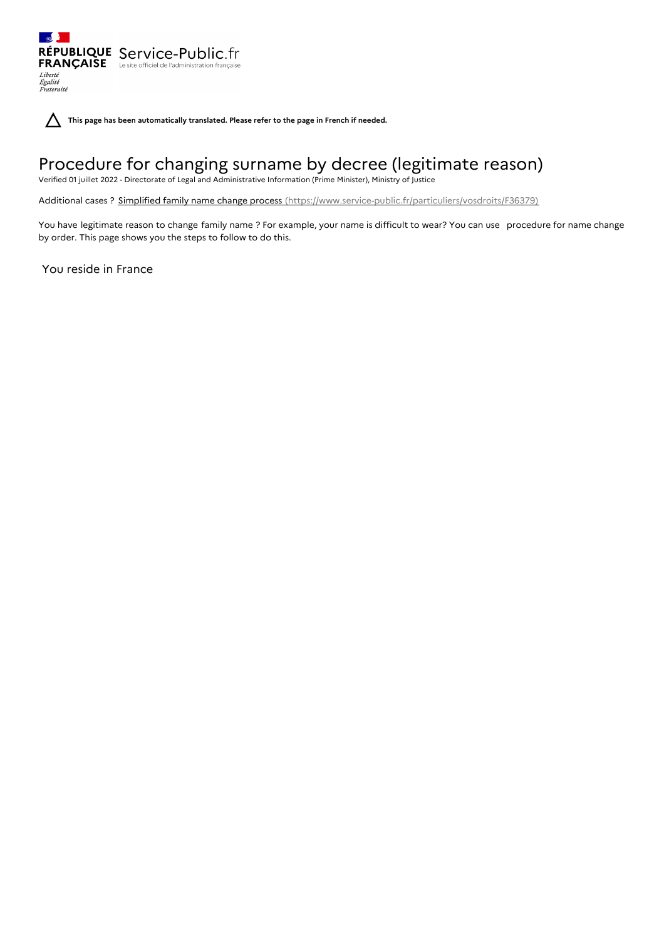

**This page has been automatically translated. Please refer to the page in French if needed.**

# Procedure for changing surname by decree (legitimate reason)

Verified 01 juillet 2022 - Directorate of Legal and Administrative Information (Prime Minister), Ministry of Justice

Additional cases ? Simplified family name change process [\(https://www.service-public.fr/particuliers/vosdroits/F36379\)](https://www.service-public.fr/particuliers/vosdroits/F36379)

You have legitimate reason to change family name ? For example, your name is difficult to wear? You can use procedure for name change by order. This page shows you the steps to follow to do this.

You reside in France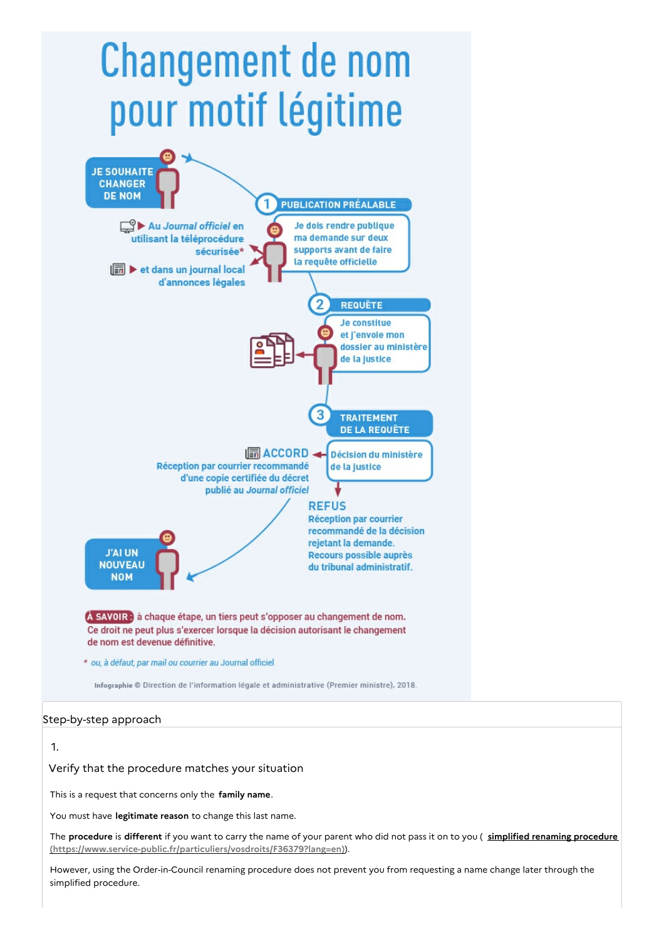# **Changement de nom** pour motif légitime



# Step-by-step approach

# 1.

Verify that the procedure matches your situation

This is a request that concerns only the **family name**.

You must have **legitimate reason** to change this last name.

The **procedure** is **different** if you want to carry the name of your parent who did not pass it on to you ( **simplified renaming procedure [\(https://www.service-public.fr/particuliers/vosdroits/F36379?lang=en\)](https://www.service-public.fr/particuliers/vosdroits/F36379?lang=en)**).

However, using the Order-in-Council renaming procedure does not prevent you from requesting a name change later through the simplified procedure.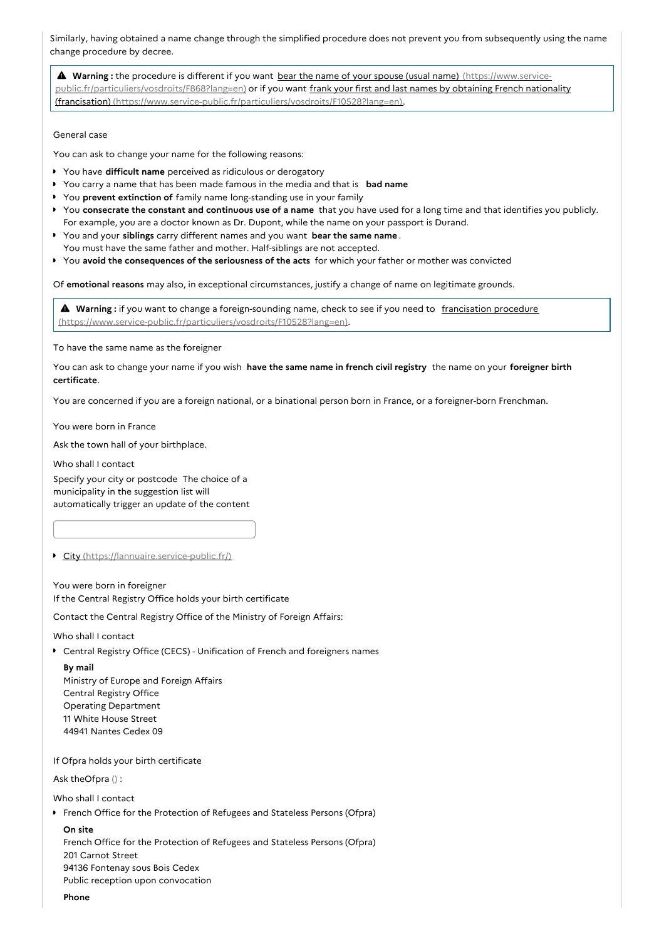Similarly, having obtained a name change through the simplified procedure does not prevent you from subsequently using the name change procedure by decree.

 **Warning :** the procedure is different if you want bear the name of your spouse (usual name) (https://www.service[public.fr/particuliers/vosdroits/F868?lang=en\)](https://www.service-public.fr/particuliers/vosdroits/F868?lang=en) or if you want frank your first and last names by obtaining French nationality (francisation) [\(https://www.service-public.fr/particuliers/vosdroits/F10528?lang=en\).](https://www.service-public.fr/particuliers/vosdroits/F10528?lang=en)

General case

You can ask to change your name for the following reasons:

- You have **difficult name** perceived as ridiculous or derogatory
- You carry a name that has been made famous in the media and that is **bad name**
- You **prevent extinction of** family name long-standing use in your family
- You **consecrate the constant and continuous use of a name** that you have used for a long time and that identifies you publicly. For example, you are a doctor known as Dr. Dupont, while the name on your passport is Durand.
- You and your **siblings** carry different names and you want **bear the same name** . You must have the same father and mother. Half-siblings are not accepted.
- You **avoid the consequences of the seriousness of the acts** for which your father or mother was convicted

Of **emotional reasons** may also, in exceptional circumstances, justify a change of name on legitimate grounds.

**A** Warning : if you want to change a foreign-sounding name, check to see if you need to francisation procedure [\(https://www.service-public.fr/particuliers/vosdroits/F10528?lang=en\).](https://www.service-public.fr/particuliers/vosdroits/F10528?lang=en)

To have the same name as the foreigner

You can ask to change your name if you wish **have the same name in french civil registry** the name on your **foreigner birth certificate**.

You are concerned if you are a foreign national, or a binational person born in France, or a foreigner-born Frenchman.

You were born in France

Ask the town hall of your birthplace.

Who shall I contact

Specify your city or postcode The choice of a municipality in the suggestion list will automatically trigger an update of the content

City [\(https://lannuaire.service-public.fr/\)](https://lannuaire.service-public.fr/)

You were born in foreigner If the Central Registry Office holds your birth certificate

Contact the Central Registry Office of the Ministry of Foreign Affairs:

Who shall I contact

- Central Registry Office (CECS) Unification of French and foreigners names
	- **By mail** Ministry of Europe and Foreign Affairs Central Registry Office Operating Department 11 White House Street 44941 Nantes Cedex 09

If Ofpra holds your birth certificate

Ask theOfpra ():

Who shall I contact

**French Office for the Protection of Refugees and Stateless Persons (Ofpra)** 

#### **On site**

French Office for the Protection of Refugees and Stateless Persons (Ofpra) 201 Carnot Street 94136 Fontenay sous Bois Cedex Public reception upon convocation

**Phone**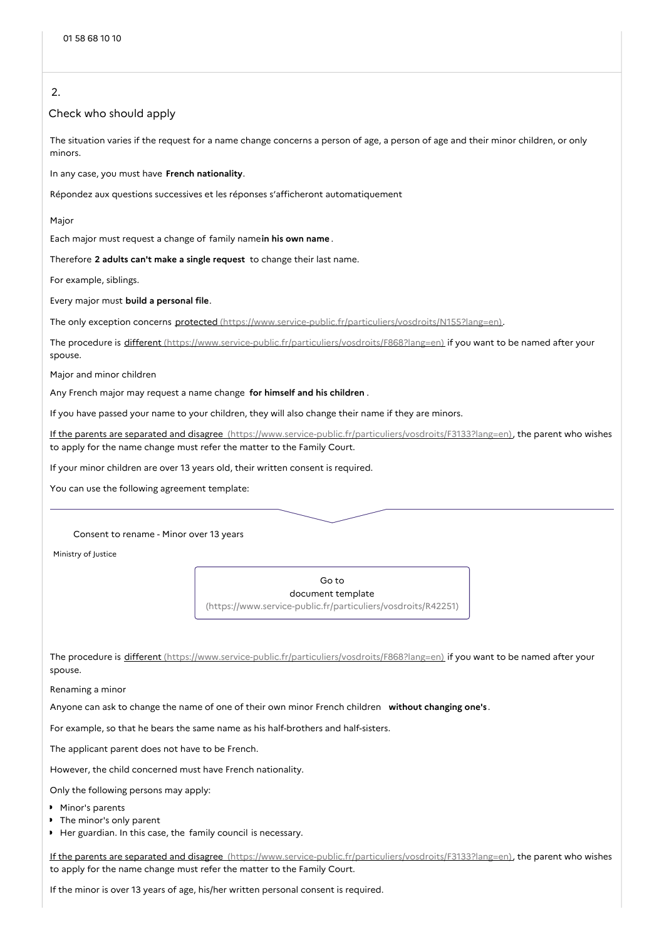# 2.

#### Check who should apply

The situation varies if the request for a name change concerns a person of age, a person of age and their minor children, or only minors.

In any case, you must have **French nationality**.

Répondez aux questions successives et les réponses s'afficheront automatiquement

Major

Each major must request a change of family name**in his own name** .

Therefore **2 adults can't make a single request** to change their last name.

For example, siblings.

Every major must **build a personal file**.

The only exception concerns protected [\(https://www.service-public.fr/particuliers/vosdroits/N155?lang=en\)](https://www.service-public.fr/particuliers/vosdroits/N155?lang=en).

The procedure is different [\(https://www.service-public.fr/particuliers/vosdroits/F868?lang=en\)](https://www.service-public.fr/particuliers/vosdroits/F868?lang=en) if you want to be named after your spouse.

Major and minor children

Any French major may request a name change **for himself and his children** .

If you have passed your name to your children, they will also change their name if they are minors.

If the parents are separated and disagree [\(https://www.service-public.fr/particuliers/vosdroits/F3133?lang=en\)](https://www.service-public.fr/particuliers/vosdroits/F3133?lang=en), the parent who wishes to apply for the name change must refer the matter to the Family Court.

If your minor children are over 13 years old, their written consent is required.

You can use the following agreement template:

#### Consent to rename - Minor over 13 years

Ministry of Justice

Go to document template [\(https://www.service-public.fr/particuliers/vosdroits/R42251\)](https://www.service-public.fr/particuliers/vosdroits/R42251)

The procedure is different [\(https://www.service-public.fr/particuliers/vosdroits/F868?lang=en\)](https://www.service-public.fr/particuliers/vosdroits/F868?lang=en) if you want to be named after your spouse.

Renaming a minor

Anyone can ask to change the name of one of their own minor French children **without changing one's** .

For example, so that he bears the same name as his half-brothers and half-sisters.

The applicant parent does not have to be French.

However, the child concerned must have French nationality.

Only the following persons may apply:

- Minor's parents
- The minor's only parent
- Her guardian. In this case, the family council is necessary.

If the parents are separated and disagree [\(https://www.service-public.fr/particuliers/vosdroits/F3133?lang=en\)](https://www.service-public.fr/particuliers/vosdroits/F3133?lang=en), the parent who wishes to apply for the name change must refer the matter to the Family Court.

If the minor is over 13 years of age, his/her written personal consent is required.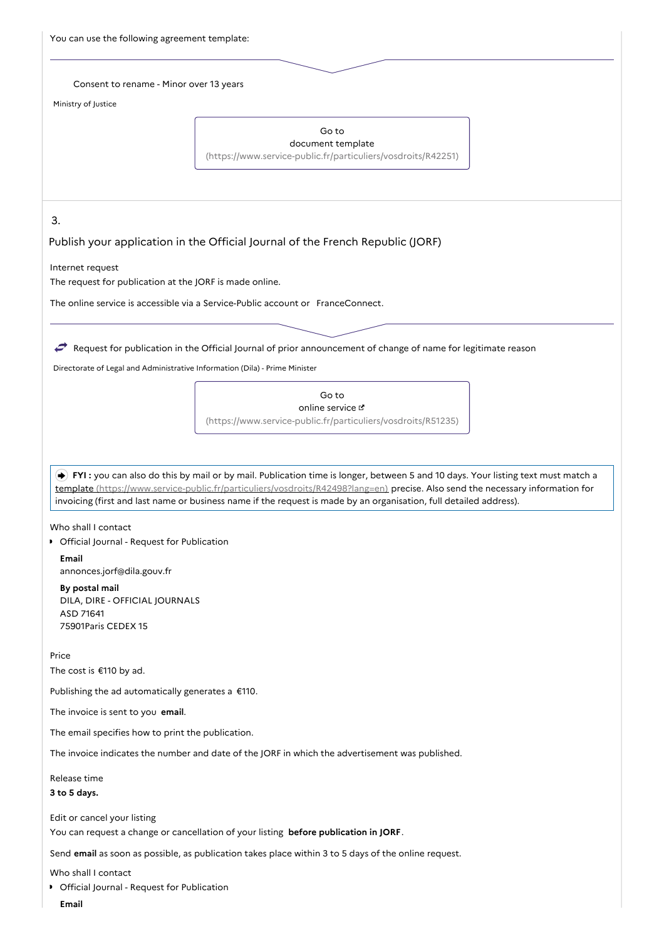| You can use the following agreement template: |  |
|-----------------------------------------------|--|
|-----------------------------------------------|--|

#### Consent to rename - Minor over 13 years

Ministry of Justice

#### Go to

document template [\(https://www.service-public.fr/particuliers/vosdroits/R42251\)](https://www.service-public.fr/particuliers/vosdroits/R42251)

3.

#### Publish your application in the Official Journal of the French Republic (JORF)

Internet request

The request for publication at the JORF is made online.

The online service is accessible via a Service-Public account or FranceConnect.

# Request for publication in the Official Journal of prior announcement of change of name for legitimate reason

Directorate of Legal and Administrative Information (Dila) - Prime Minister

Go to online service [\(https://www.service-public.fr/particuliers/vosdroits/R51235\)](https://www.service-public.fr/particuliers/vosdroits/R51235)

 **FYI :** you can also do this by mail or by mail. Publication time is longer, between 5 and 10 days. Your listing text must match a template [\(https://www.service-public.fr/particuliers/vosdroits/R42498?lang=en\)](https://www.service-public.fr/particuliers/vosdroits/R42498?lang=en) precise. Also send the necessary information for invoicing (first and last name or business name if the request is made by an organisation, full detailed address).

Who shall I contact

**•** Official Journal - Request for Publication

**Email** annonces.jorf@dila.gouv.fr

**By postal mail** DILA, DIRE - OFFICIAL JOURNALS ASD 71641 75901Paris CEDEX 15

#### Price

The cost is €110 by ad.

Publishing the ad automatically generates a  $£110$ .

The invoice is sent to you **email**.

The email specifies how to print the publication.

The invoice indicates the number and date of the JORF in which the advertisement was published.

Release time

# **3 to 5 days.**

Edit or cancel your listing

You can request a change or cancellation of your listing **before publication in JORF**.

Send **email** as soon as possible, as publication takes place within 3 to 5 days of the online request.

Who shall I contact

**• Official Journal - Request for Publication** 

**Email**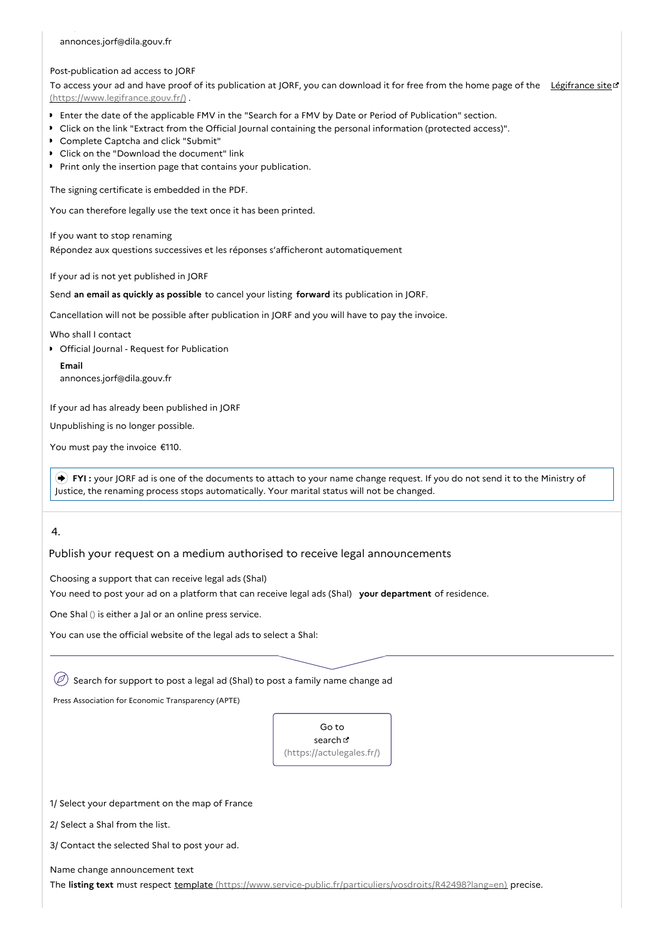#### annonces.jorf@dila.gouv.fr

#### Post-publication ad access to JORF

To access your ad and have proof of its publication at JORF, you can download it for free from the home page of the Légifrance site of [\(https://www.legifrance.gouv.fr/\)](https://www.legifrance.gouv.fr/) .

- Enter the date of the applicable FMV in the "Search for a FMV by Date or Period of Publication" section.
- Click on the link "Extract from the Official Journal containing the personal information (protected access)".
- Complete Captcha and click "Submit"
- Click on the "Download the document" link
- Print only the insertion page that contains your publication.

The signing certificate is embedded in the PDF.

You can therefore legally use the text once it has been printed.

If you want to stop renaming Répondez aux questions successives et les réponses s'afficheront automatiquement

If your ad is not yet published in JORF

Send **an email as quickly as possible** to cancel your listing **forward** its publication in JORF.

Cancellation will not be possible after publication in JORF and you will have to pay the invoice.

Who shall I contact

**•** Official Journal - Request for Publication

**Email** annonces.jorf@dila.gouv.fr

If your ad has already been published in JORF

Unpublishing is no longer possible.

You must pay the invoice €110.

 **FYI :** your JORF ad is one of the documents to attach to your name change request. If you do not send it to the Ministry of Justice, the renaming process stops automatically. Your marital status will not be changed.

# 4.

Publish your request on a medium authorised to receive legal announcements

Choosing a support that can receive legal ads (Shal)

You need to post your ad on a platform that can receive legal ads (Shal) **your department** of residence.

One Shal () is either a Jal or an online press service.

You can use the official website of the legal ads to select a Shal:

 $\mathcal{O}$  Search for support to post a legal ad (Shal) to post a family name change ad

Press Association for Economic Transparency (APTE)

Go to search **B** [\(https://actulegales.fr/\)](https://actulegales.fr/)

1/ Select your department on the map of France

2/ Select a Shal from the list.

3/ Contact the selected Shal to post your ad.

Name change announcement text

The **listing text** must respect template [\(https://www.service-public.fr/particuliers/vosdroits/R42498?lang=en\)](https://www.service-public.fr/particuliers/vosdroits/R42498?lang=en) precise.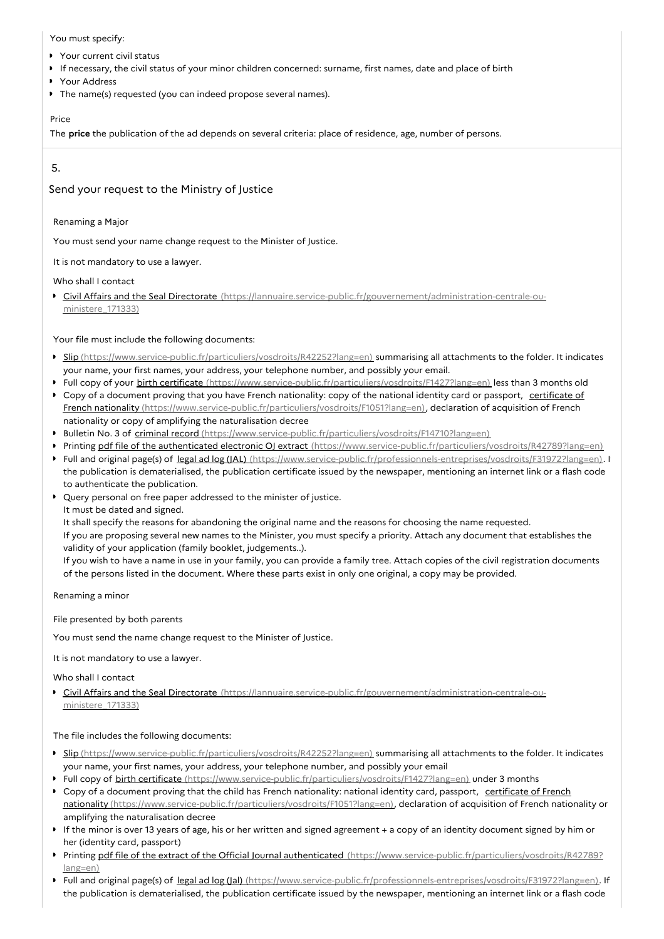#### You must specify:

- Your current civil status
- If necessary, the civil status of your minor children concerned: surname, first names, date and place of birth  $\mathbf{r}$
- Your Address
- The name(s) requested (you can indeed propose several names).  $\bullet$

#### Price

The **price** the publication of the ad depends on several criteria: place of residence, age, number of persons.

# 5.

# Send your request to the Ministry of Justice

Renaming a Major

You must send your name change request to the Minister of Justice.

It is not mandatory to use a lawyer.

Who shall I contact

Civil Affairs and the Seal Directorate [\(https://lannuaire.service-public.fr/gouvernement/administration-centrale-ou](https://lannuaire.service-public.fr/gouvernement/administration-centrale-ou-ministere_171333)ministere 171333)

Your file must include the following documents:

- Slip [\(https://www.service-public.fr/particuliers/vosdroits/R42252?lang=en\)](https://www.service-public.fr/particuliers/vosdroits/R42252?lang=en) summarising all attachments to the folder. It indicates your name, your first names, your address, your telephone number, and possibly your email.
- Full copy of your birth certificate [\(https://www.service-public.fr/particuliers/vosdroits/F1427?lang=en\)](https://www.service-public.fr/particuliers/vosdroits/F1427?lang=en) less than 3 months old
- Copy of a document proving that you have French nationality: copy of the national identity card or passport, certificate of French nationality [\(https://www.service-public.fr/particuliers/vosdroits/F1051?lang=en\),](https://www.service-public.fr/particuliers/vosdroits/F1051?lang=en) declaration of acquisition of French nationality or copy of amplifying the naturalisation decree
- **Bulletin No. 3 of criminal record** [\(https://www.service-public.fr/particuliers/vosdroits/F14710?lang=en\)](https://www.service-public.fr/particuliers/vosdroits/F14710?lang=en)
- Printing pdf file of the authenticated electronic OJ extract [\(https://www.service-public.fr/particuliers/vosdroits/R42789?lang=en\)](https://www.service-public.fr/particuliers/vosdroits/R42789?lang=en)
- Full and original page(s) of legal ad log (JAL) [\(https://www.service-public.fr/professionnels-entreprises/vosdroits/F31972?lang=en\)](https://www.service-public.fr/professionnels-entreprises/vosdroits/F31972?lang=en). If the publication is dematerialised, the publication certificate issued by the newspaper, mentioning an internet link or a flash code to authenticate the publication.
- Query personal on free paper addressed to the minister of justice.
	- It must be dated and signed.

It shall specify the reasons for abandoning the original name and the reasons for choosing the name requested.

If you are proposing several new names to the Minister, you must specify a priority. Attach any document that establishes the validity of your application (family booklet, judgements..).

If you wish to have a name in use in your family, you can provide a family tree. Attach copies of the civil registration documents of the persons listed in the document. Where these parts exist in only one original, a copy may be provided.

Renaming a minor

File presented by both parents

You must send the name change request to the Minister of Justice.

It is not mandatory to use a lawyer.

Who shall I contact

Civil Affairs and the Seal Directorate [\(https://lannuaire.service-public.fr/gouvernement/administration-centrale-ou](https://lannuaire.service-public.fr/gouvernement/administration-centrale-ou-ministere_171333)ministere 171333)

The file includes the following documents:

- Slip [\(https://www.service-public.fr/particuliers/vosdroits/R42252?lang=en\)](https://www.service-public.fr/particuliers/vosdroits/R42252?lang=en) summarising all attachments to the folder. It indicates your name, your first names, your address, your telephone number, and possibly your email
- ▶ Full copy of birth certificate [\(https://www.service-public.fr/particuliers/vosdroits/F1427?lang=en\)](https://www.service-public.fr/particuliers/vosdroits/F1427?lang=en) under 3 months
- ▶ Copy of a document proving that the child has French nationality: national identity card, passport, certificate of French nationality [\(https://www.service-public.fr/particuliers/vosdroits/F1051?lang=en\),](https://www.service-public.fr/particuliers/vosdroits/F1051?lang=en) declaration of acquisition of French nationality or amplifying the naturalisation decree
- If the minor is over 13 years of age, his or her written and signed agreement + a copy of an identity document signed by him or her (identity card, passport)
- Printing pdf file of the extract of the Official Journal authenticated [\(https://www.service-public.fr/particuliers/vosdroits/R42789?](https://www.service-public.fr/particuliers/vosdroits/R42789?lang=en) lang=en)
- Full and original page(s) of legal ad log (Jal) [\(https://www.service-public.fr/professionnels-entreprises/vosdroits/F31972?lang=en\)](https://www.service-public.fr/professionnels-entreprises/vosdroits/F31972?lang=en). If the publication is dematerialised, the publication certificate issued by the newspaper, mentioning an internet link or a flash code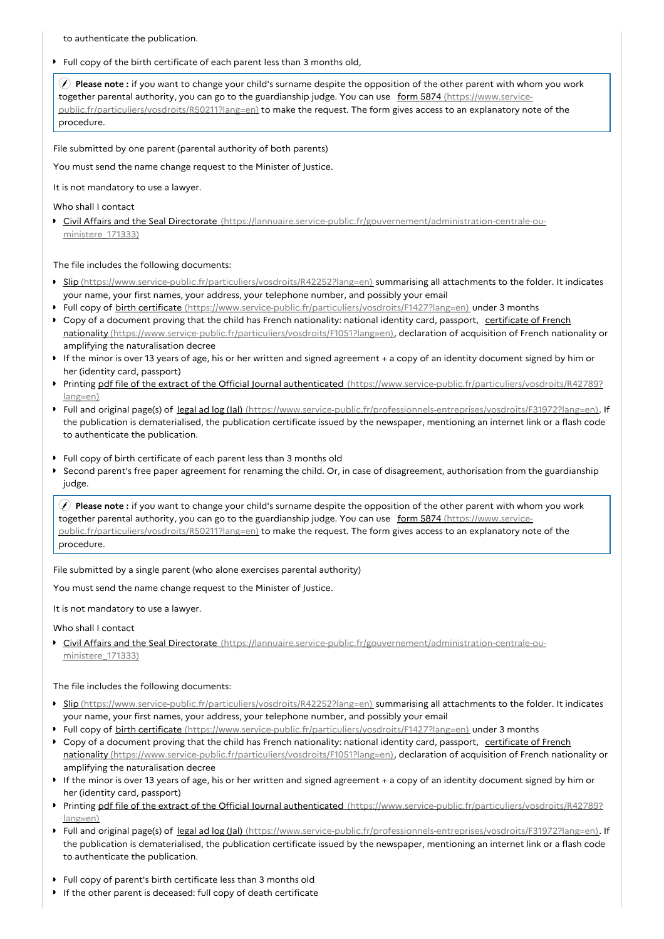to authenticate the publication.

Full copy of the birth certificate of each parent less than 3 months old,

 **Please note :** if you want to change your child's surname despite the opposition of the other parent with whom you work together parental authority, you can go to the guardianship judge. You can use form 5874 (https://www.service[public.fr/particuliers/vosdroits/R50211?lang=en\)](https://www.service-public.fr/particuliers/vosdroits/R50211?lang=en) to make the request. The form gives access to an explanatory note of the procedure.

File submitted by one parent (parental authority of both parents)

You must send the name change request to the Minister of Justice.

It is not mandatory to use a lawyer.

Who shall I contact

Civil Affairs and the Seal Directorate [\(https://lannuaire.service-public.fr/gouvernement/administration-centrale-ou](https://lannuaire.service-public.fr/gouvernement/administration-centrale-ou-ministere_171333)ministere 171333)

The file includes the following documents:

- Slip [\(https://www.service-public.fr/particuliers/vosdroits/R42252?lang=en\)](https://www.service-public.fr/particuliers/vosdroits/R42252?lang=en) summarising all attachments to the folder. It indicates your name, your first names, your address, your telephone number, and possibly your email
- Full copy of birth certificate [\(https://www.service-public.fr/particuliers/vosdroits/F1427?lang=en\)](https://www.service-public.fr/particuliers/vosdroits/F1427?lang=en) under 3 months
- Copy of a document proving that the child has French nationality: national identity card, passport, certificate of French nationality [\(https://www.service-public.fr/particuliers/vosdroits/F1051?lang=en\),](https://www.service-public.fr/particuliers/vosdroits/F1051?lang=en) declaration of acquisition of French nationality or amplifying the naturalisation decree
- If the minor is over 13 years of age, his or her written and signed agreement + a copy of an identity document signed by him or her (identity card, passport)
- Printing pdf file of the extract of the Official Journal authenticated [\(https://www.service-public.fr/particuliers/vosdroits/R42789?](https://www.service-public.fr/particuliers/vosdroits/R42789?lang=en) lang=en)
- Full and original page(s) of legal ad log (Jal) [\(https://www.service-public.fr/professionnels-entreprises/vosdroits/F31972?lang=en\)](https://www.service-public.fr/professionnels-entreprises/vosdroits/F31972?lang=en). If the publication is dematerialised, the publication certificate issued by the newspaper, mentioning an internet link or a flash code to authenticate the publication.
- Full copy of birth certificate of each parent less than 3 months old
- Second parent's free paper agreement for renaming the child. Or, in case of disagreement, authorisation from the guardianship judge.

 **Please note :** if you want to change your child's surname despite the opposition of the other parent with whom you work together parental authority, you can go to the guardianship judge. You can use form 5874 (https://www.service[public.fr/particuliers/vosdroits/R50211?lang=en\)](https://www.service-public.fr/particuliers/vosdroits/R50211?lang=en) to make the request. The form gives access to an explanatory note of the procedure.

File submitted by a single parent (who alone exercises parental authority)

You must send the name change request to the Minister of Justice.

It is not mandatory to use a lawyer.

Who shall I contact

Civil Affairs and the Seal Directorate [\(https://lannuaire.service-public.fr/gouvernement/administration-centrale-ou](https://lannuaire.service-public.fr/gouvernement/administration-centrale-ou-ministere_171333)ministere\_171333)

The file includes the following documents:

- Slip [\(https://www.service-public.fr/particuliers/vosdroits/R42252?lang=en\)](https://www.service-public.fr/particuliers/vosdroits/R42252?lang=en) summarising all attachments to the folder. It indicates your name, your first names, your address, your telephone number, and possibly your email
- Full copy of birth certificate [\(https://www.service-public.fr/particuliers/vosdroits/F1427?lang=en\)](https://www.service-public.fr/particuliers/vosdroits/F1427?lang=en) under 3 months
- Copy of a document proving that the child has French nationality: national identity card, passport, certificate of French nationality [\(https://www.service-public.fr/particuliers/vosdroits/F1051?lang=en\),](https://www.service-public.fr/particuliers/vosdroits/F1051?lang=en) declaration of acquisition of French nationality or amplifying the naturalisation decree
- If the minor is over 13 years of age, his or her written and signed agreement + a copy of an identity document signed by him or her (identity card, passport)
- Printing pdf file of the extract of the Official Journal authenticated [\(https://www.service-public.fr/particuliers/vosdroits/R42789?](https://www.service-public.fr/particuliers/vosdroits/R42789?lang=en) lang=en)
- Full and original page(s) of legal ad log (Jal) [\(https://www.service-public.fr/professionnels-entreprises/vosdroits/F31972?lang=en\)](https://www.service-public.fr/professionnels-entreprises/vosdroits/F31972?lang=en). If the publication is dematerialised, the publication certificate issued by the newspaper, mentioning an internet link or a flash code to authenticate the publication.
- Full copy of parent's birth certificate less than 3 months old
- If the other parent is deceased: full copy of death certificate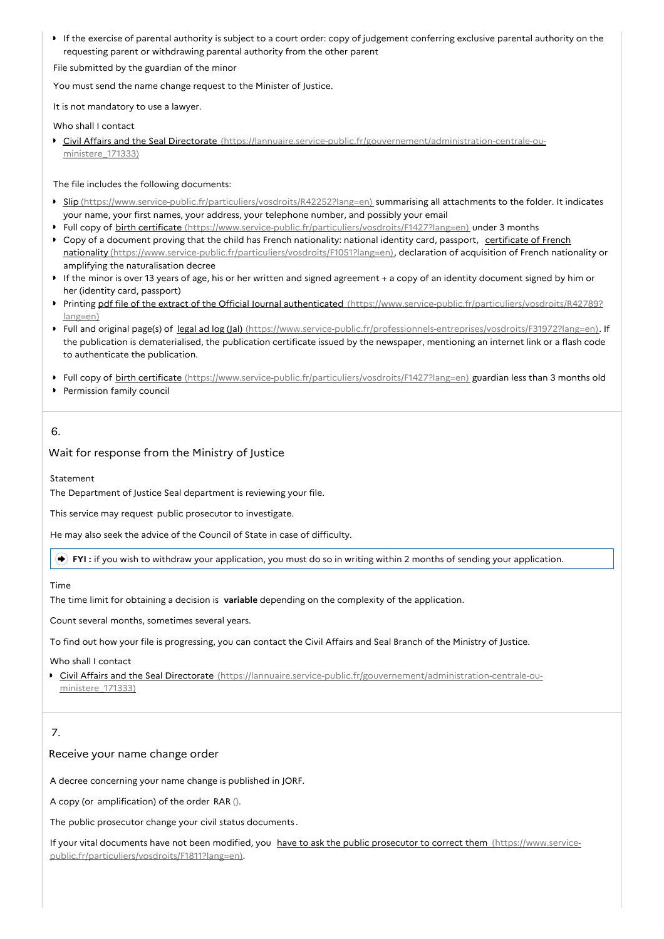If the exercise of parental authority is subject to a court order: copy of judgement conferring exclusive parental authority on the requesting parent or withdrawing parental authority from the other parent

File submitted by the guardian of the minor

You must send the name change request to the Minister of Justice.

It is not mandatory to use a lawyer.

Who shall I contact

**Civil Affairs and the Seal Directorate** [\(https://lannuaire.service-public.fr/gouvernement/administration-centrale-ou](https://lannuaire.service-public.fr/gouvernement/administration-centrale-ou-ministere_171333)ministere\_171333)

The file includes the following documents:

- Slip [\(https://www.service-public.fr/particuliers/vosdroits/R42252?lang=en\)](https://www.service-public.fr/particuliers/vosdroits/R42252?lang=en) summarising all attachments to the folder. It indicates your name, your first names, your address, your telephone number, and possibly your email
- Full copy of birth certificate [\(https://www.service-public.fr/particuliers/vosdroits/F1427?lang=en\)](https://www.service-public.fr/particuliers/vosdroits/F1427?lang=en) under 3 months Copy of a document proving that the child has French nationality: national identity card, passport, certificate of French
- nationality [\(https://www.service-public.fr/particuliers/vosdroits/F1051?lang=en\),](https://www.service-public.fr/particuliers/vosdroits/F1051?lang=en) declaration of acquisition of French nationality or amplifying the naturalisation decree
- If the minor is over 13 years of age, his or her written and signed agreement + a copy of an identity document signed by him or her (identity card, passport)
- Printing pdf file of the extract of the Official Journal authenticated [\(https://www.service-public.fr/particuliers/vosdroits/R42789?](https://www.service-public.fr/particuliers/vosdroits/R42789?lang=en) lang=en)
- Full and original page(s) of legal ad log (Jal) [\(https://www.service-public.fr/professionnels-entreprises/vosdroits/F31972?lang=en\)](https://www.service-public.fr/professionnels-entreprises/vosdroits/F31972?lang=en). If the publication is dematerialised, the publication certificate issued by the newspaper, mentioning an internet link or a flash code to authenticate the publication.
- Full copy of birth certificate [\(https://www.service-public.fr/particuliers/vosdroits/F1427?lang=en\)](https://www.service-public.fr/particuliers/vosdroits/F1427?lang=en) guardian less than 3 months old
- **Permission family council**

# 6.

# Wait for response from the Ministry of Justice

Statement

The Department of Justice Seal department is reviewing your file.

This service may request public prosecutor to investigate.

He may also seek the advice of the Council of State in case of difficulty.

**FYI :** if you wish to withdraw your application, you must do so in writing within 2 months of sending your application.

# Time

The time limit for obtaining a decision is **variable** depending on the complexity of the application.

Count several months, sometimes several years.

To find out how your file is progressing, you can contact the Civil Affairs and Seal Branch of the Ministry of Justice.

Who shall I contact

Civil Affairs and the Seal Directorate [\(https://lannuaire.service-public.fr/gouvernement/administration-centrale-ou](https://lannuaire.service-public.fr/gouvernement/administration-centrale-ou-ministere_171333)ministere\_171333)

# 7.

# Receive your name change order

A decree concerning your name change is published in JORF.

A copy (or amplification) of the order RAR ().

The public prosecutor change your civil status documents .

If your vital documents have not been modified, you have to ask the public prosecutor to correct them (https://www.service[public.fr/particuliers/vosdroits/F1811?lang=en\).](https://www.service-public.fr/particuliers/vosdroits/F1811?lang=en)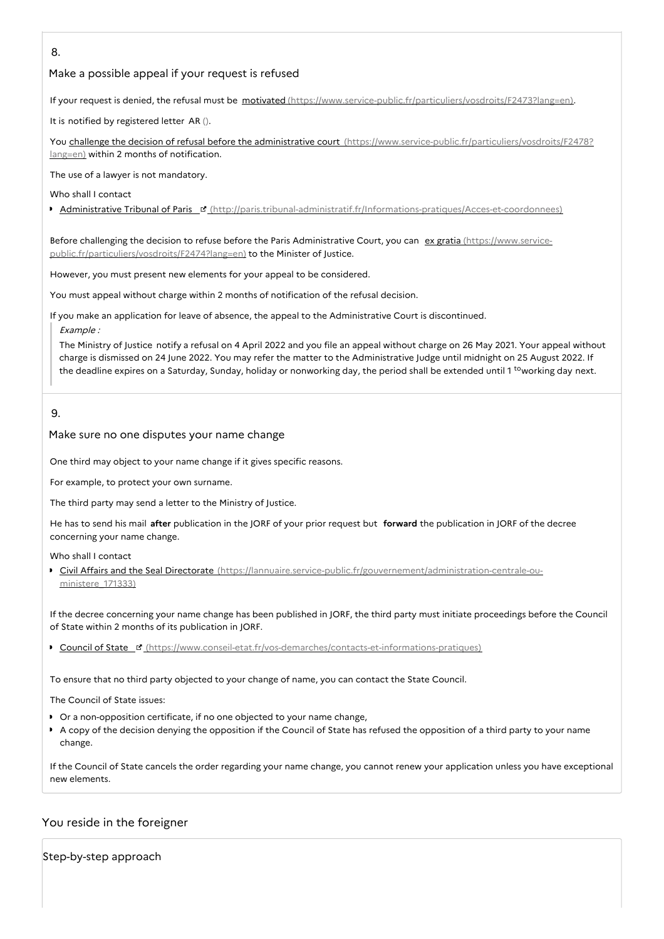# 8.

# Make a possible appeal if your request is refused

If your request is denied, the refusal must be motivated [\(https://www.service-public.fr/particuliers/vosdroits/F2473?lang=en\)](https://www.service-public.fr/particuliers/vosdroits/F2473?lang=en).

It is notified by registered letter AR ().

You challenge the decision of refusal before the administrative court [\(https://www.service-public.fr/particuliers/vosdroits/F2478?](https://www.service-public.fr/particuliers/vosdroits/F2478?lang=en) lang=en) within 2 months of notification.

The use of a lawyer is not mandatory.

Who shall I contact

**Administrative Tribunal of Paris ¤** [\(http://paris.tribunal-administratif.fr/Informations-pratiques/Acces-et-coordonnees\)](http://paris.tribunal-administratif.fr/Informations-pratiques/Acces-et-coordonnees)

Before challenging the decision to refuse before the Paris Administrative Court, you can ex gratia (https://www.service[public.fr/particuliers/vosdroits/F2474?lang=en\)](https://www.service-public.fr/particuliers/vosdroits/F2474?lang=en) to the Minister of Justice.

However, you must present new elements for your appeal to be considered.

You must appeal without charge within 2 months of notification of the refusal decision.

If you make an application for leave of absence, the appeal to the Administrative Court is discontinued.

Example :

The Ministry of Justice notify a refusal on 4 April 2022 and you file an appeal without charge on 26 May 2021. Your appeal without charge is dismissed on 24 June 2022. You may refer the matter to the Administrative Judge until midnight on 25 August 2022. If the deadline expires on a Saturday, Sunday, holiday or nonworking day, the period shall be extended until 1 <sup>to</sup>working day next.

9.

#### Make sure no one disputes your name change

One third may object to your name change if it gives specific reasons.

For example, to protect your own surname.

The third party may send a letter to the Ministry of Justice.

He has to send his mail **after** publication in the JORF of your prior request but **forward** the publication in JORF of the decree concerning your name change.

Who shall I contact

■ Civil Affairs and the Seal Directorate [\(https://lannuaire.service-public.fr/gouvernement/administration-centrale-ou](https://lannuaire.service-public.fr/gouvernement/administration-centrale-ou-ministere_171333)ministere 171333)

If the decree concerning your name change has been published in JORF, the third party must initiate proceedings before the Council of State within 2 months of its publication in JORF.

▶ Council of State ¤ [\(https://www.conseil-etat.fr/vos-demarches/contacts-et-informations-pratiques\)](https://www.conseil-etat.fr/vos-demarches/contacts-et-informations-pratiques)

To ensure that no third party objected to your change of name, you can contact the State Council.

The Council of State issues:

- Or a non-opposition certificate, if no one objected to your name change,
- A copy of the decision denying the opposition if the Council of State has refused the opposition of a third party to your name change.

If the Council of State cancels the order regarding your name change, you cannot renew your application unless you have exceptional new elements.

# You reside in the foreigner

Step-by-step approach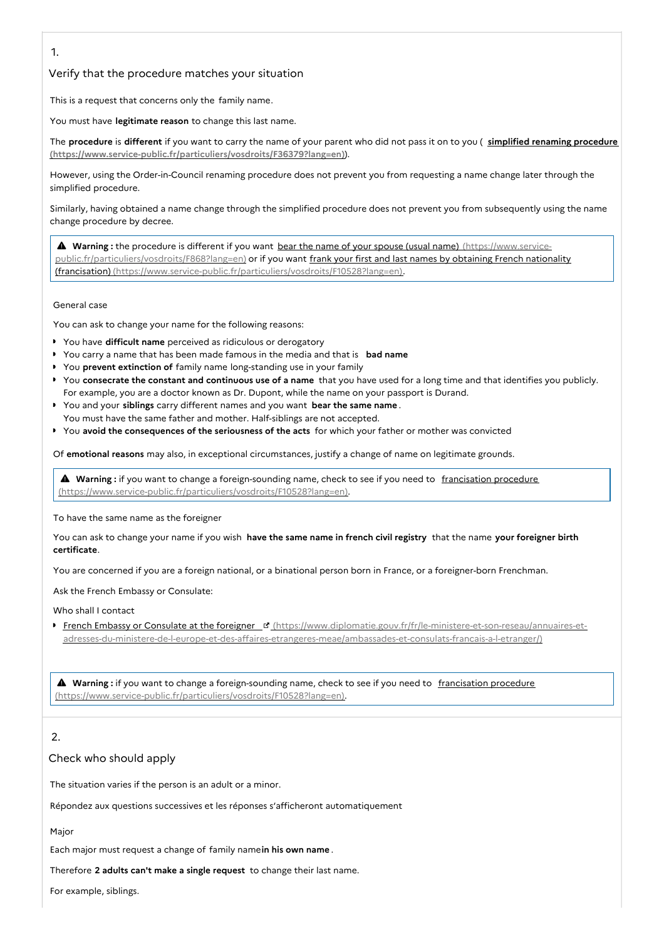1.

# Verify that the procedure matches your situation

This is a request that concerns only the family name.

You must have **legitimate reason** to change this last name.

The **procedure** is **different** if you want to carry the name of your parent who did not pass it on to you ( **simplified renaming procedure [\(https://www.service-public.fr/particuliers/vosdroits/F36379?lang=en\)](https://www.service-public.fr/particuliers/vosdroits/F36379?lang=en)**).

However, using the Order-in-Council renaming procedure does not prevent you from requesting a name change later through the simplified procedure.

Similarly, having obtained a name change through the simplified procedure does not prevent you from subsequently using the name change procedure by decree.

**A** Warning : the procedure is different if you want bear the name of your spouse (usual name) (https://www.service[public.fr/particuliers/vosdroits/F868?lang=en\)](https://www.service-public.fr/particuliers/vosdroits/F868?lang=en) or if you want frank your first and last names by obtaining French nationality (francisation) [\(https://www.service-public.fr/particuliers/vosdroits/F10528?lang=en\).](https://www.service-public.fr/particuliers/vosdroits/F10528?lang=en)

General case

You can ask to change your name for the following reasons:

- You have **difficult name** perceived as ridiculous or derogatory
- You carry a name that has been made famous in the media and that is **bad name**
- You **prevent extinction of** family name long-standing use in your family
- You **consecrate the constant and continuous use of a name** that you have used for a long time and that identifies you publicly. For example, you are a doctor known as Dr. Dupont, while the name on your passport is Durand.
- You and your **siblings** carry different names and you want **bear the same name** . You must have the same father and mother. Half-siblings are not accepted.
- You **avoid the consequences of the seriousness of the acts** for which your father or mother was convicted

Of **emotional reasons** may also, in exceptional circumstances, justify a change of name on legitimate grounds.

**A** Warning : if you want to change a foreign-sounding name, check to see if you need to francisation procedure [\(https://www.service-public.fr/particuliers/vosdroits/F10528?lang=en\).](https://www.service-public.fr/particuliers/vosdroits/F10528?lang=en)

To have the same name as the foreigner

You can ask to change your name if you wish **have the same name in french civil registry** that the name **your foreigner birth certificate**.

You are concerned if you are a foreign national, or a binational person born in France, or a foreigner-born Frenchman.

Ask the French Embassy or Consulate:

Who shall I contact

French Embassy or Consulate at the foreigner E (https://www.diplomatie.gouv.fr/fr/le-ministere-et-son-reseau/annuaires-et[adresses-du-ministere-de-l-europe-et-des-affaires-etrangeres-meae/ambassades-et-consulats-francais-a-l-etranger/\)](https://www.diplomatie.gouv.fr/fr/le-ministere-et-son-reseau/annuaires-et-adresses-du-ministere-de-l-europe-et-des-affaires-etrangeres-meae/ambassades-et-consulats-francais-a-l-etranger/)

**A** Warning : if you want to change a foreign-sounding name, check to see if you need to francisation procedure [\(https://www.service-public.fr/particuliers/vosdroits/F10528?lang=en\).](https://www.service-public.fr/particuliers/vosdroits/F10528?lang=en)

# 2.

### Check who should apply

The situation varies if the person is an adult or a minor.

Répondez aux questions successives et les réponses s'afficheront automatiquement

Major

Each major must request a change of family name**in his own name** .

Therefore **2 adults can't make a single request** to change their last name.

For example, siblings.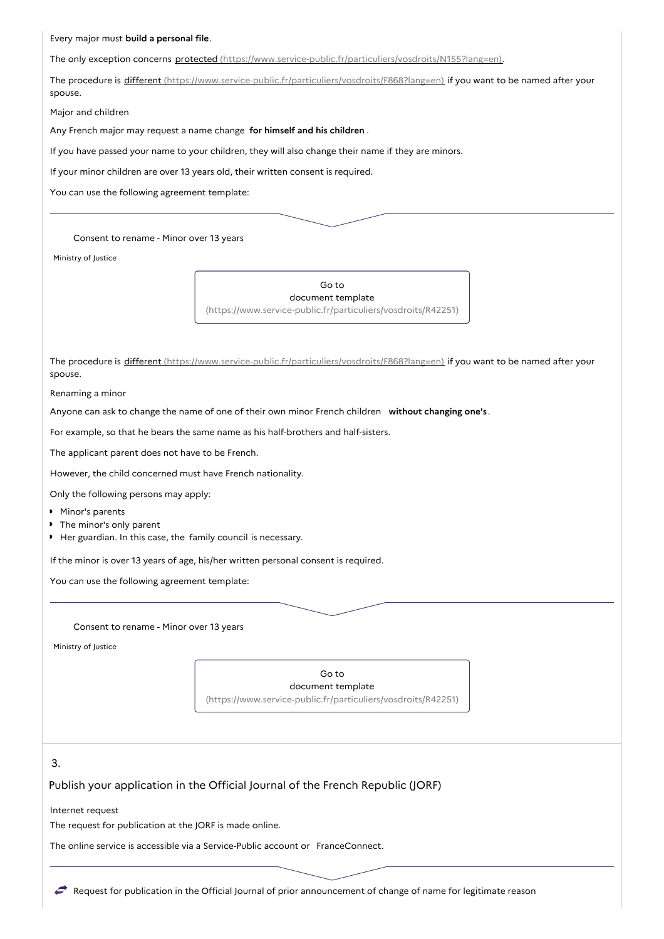Every major must **build a personal file**.

The only exception concerns protected [\(https://www.service-public.fr/particuliers/vosdroits/N155?lang=en\)](https://www.service-public.fr/particuliers/vosdroits/N155?lang=en).

The procedure is different [\(https://www.service-public.fr/particuliers/vosdroits/F868?lang=en\)](https://www.service-public.fr/particuliers/vosdroits/F868?lang=en) if you want to be named after your spouse.

Major and children

Any French major may request a name change **for himself and his children** .

If you have passed your name to your children, they will also change their name if they are minors.

If your minor children are over 13 years old, their written consent is required.

You can use the following agreement template:

#### Consent to rename - Minor over 13 years

Ministry of Justice



The procedure is different [\(https://www.service-public.fr/particuliers/vosdroits/F868?lang=en\)](https://www.service-public.fr/particuliers/vosdroits/F868?lang=en) if you want to be named after your spouse.

Renaming a minor

Anyone can ask to change the name of one of their own minor French children **without changing one's** .

For example, so that he bears the same name as his half-brothers and half-sisters.

The applicant parent does not have to be French.

However, the child concerned must have French nationality.

Only the following persons may apply:

- Minor's parents
- The minor's only parent
- Her guardian. In this case, the family council is necessary.

If the minor is over 13 years of age, his/her written personal consent is required.

You can use the following agreement template:

Consent to rename - Minor over 13 years

Ministry of Justice

Go to document template [\(https://www.service-public.fr/particuliers/vosdroits/R42251\)](https://www.service-public.fr/particuliers/vosdroits/R42251)

# 3.

#### Publish your application in the Official Journal of the French Republic (JORF)

Internet request

The request for publication at the JORF is made online.

The online service is accessible via a Service-Public account or FranceConnect.

Request for publication in the Official Journal of prior announcement of change of name for legitimate reason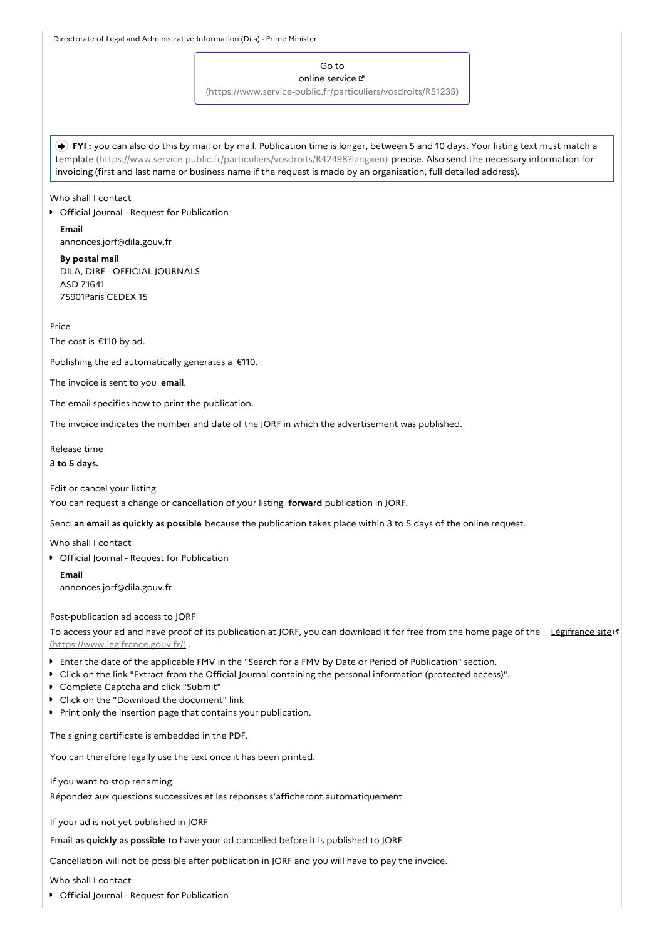Go to

#### online service

[\(https://www.service-public.fr/particuliers/vosdroits/R51235\)](https://www.service-public.fr/particuliers/vosdroits/R51235)

 **FYI :** you can also do this by mail or by mail. Publication time is longer, between 5 and 10 days. Your listing text must match a template [\(https://www.service-public.fr/particuliers/vosdroits/R42498?lang=en\)](https://www.service-public.fr/particuliers/vosdroits/R42498?lang=en) precise. Also send the necessary information for invoicing (first and last name or business name if the request is made by an organisation, full detailed address).

Who shall I contact

**•** Official Journal - Request for Publication

**Email** annonces.jorf@dila.gouv.fr

**By postal mail** DILA, DIRE - OFFICIAL JOURNALS ASD 71641 75901Paris CEDEX 15

Price

The cost is €110 by ad.

Publishing the ad automatically generates a €110.

The invoice is sent to you **email**.

The email specifies how to print the publication.

The invoice indicates the number and date of the JORF in which the advertisement was published.

Release time **3 to 5 days.**

Edit or cancel your listing

You can request a change or cancellation of your listing **forward** publication in JORF.

Send **an email as quickly as possible** because the publication takes place within 3 to 5 days of the online request.

Who shall I contact

**•** Official Journal - Request for Publication

**Email** annonces.jorf@dila.gouv.fr

#### Post-publication ad access to JORF

To access your ad and have proof of its publication at JORF, you can download it for free from the home page of the Légifrance site of [\(https://www.legifrance.gouv.fr/\)](https://www.legifrance.gouv.fr/) .

- Enter the date of the applicable FMV in the "Search for a FMV by Date or Period of Publication" section.
- Click on the link "Extract from the Official Journal containing the personal information (protected access)".
- Complete Captcha and click "Submit"
- Click on the "Download the document" link
- Print only the insertion page that contains your publication.

The signing certificate is embedded in the PDF.

You can therefore legally use the text once it has been printed.

If you want to stop renaming Répondez aux questions successives et les réponses s'afficheront automatiquement

If your ad is not yet published in JORF

Email **as quickly as possible** to have your ad cancelled before it is published to JORF.

Cancellation will not be possible after publication in JORF and you will have to pay the invoice.

Who shall I contact

**•** Official Journal - Request for Publication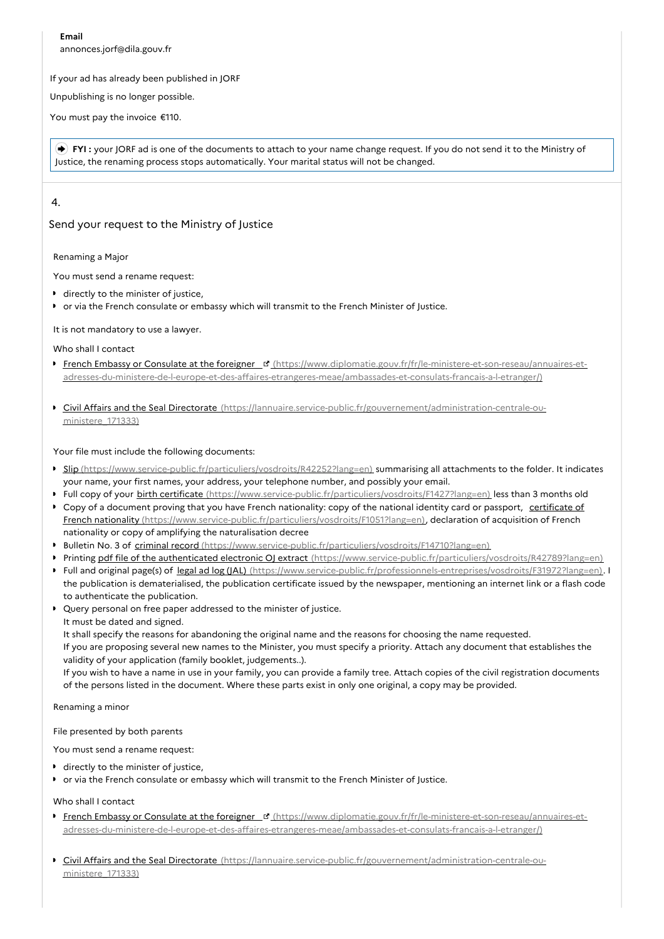**Email** annonces.jorf@dila.gouv.fr

#### If your ad has already been published in JORF

Unpublishing is no longer possible.

You must pay the invoice €110.

 **FYI :** your JORF ad is one of the documents to attach to your name change request. If you do not send it to the Ministry of Justice, the renaming process stops automatically. Your marital status will not be changed.

# 4.

# Send your request to the Ministry of Justice

#### Renaming a Major

You must send a rename request:

- **directly to the minister of justice,**
- or via the French consulate or embassy which will transmit to the French Minister of Justice.

#### It is not mandatory to use a lawyer.

Who shall I contact

- French Embassy or Consulate at the foreigner **B** (https://www.diplomatie.gouv.fr/fr/le-ministere-et-son-reseau/annuaires-et[adresses-du-ministere-de-l-europe-et-des-affaires-etrangeres-meae/ambassades-et-consulats-francais-a-l-etranger/\)](https://www.diplomatie.gouv.fr/fr/le-ministere-et-son-reseau/annuaires-et-adresses-du-ministere-de-l-europe-et-des-affaires-etrangeres-meae/ambassades-et-consulats-francais-a-l-etranger/)
- **Civil Affairs and the Seal Directorate** [\(https://lannuaire.service-public.fr/gouvernement/administration-centrale-ou](https://lannuaire.service-public.fr/gouvernement/administration-centrale-ou-ministere_171333)ministere\_171333)

Your file must include the following documents:

- Slip [\(https://www.service-public.fr/particuliers/vosdroits/R42252?lang=en\)](https://www.service-public.fr/particuliers/vosdroits/R42252?lang=en) summarising all attachments to the folder. It indicates your name, your first names, your address, your telephone number, and possibly your email.
- Full copy of your birth certificate [\(https://www.service-public.fr/particuliers/vosdroits/F1427?lang=en\)](https://www.service-public.fr/particuliers/vosdroits/F1427?lang=en) less than 3 months old
- Copy of a document proving that you have French nationality: copy of the national identity card or passport, certificate of French nationality [\(https://www.service-public.fr/particuliers/vosdroits/F1051?lang=en\),](https://www.service-public.fr/particuliers/vosdroits/F1051?lang=en) declaration of acquisition of French nationality or copy of amplifying the naturalisation decree
- Bulletin No. 3 of criminal record [\(https://www.service-public.fr/particuliers/vosdroits/F14710?lang=en\)](https://www.service-public.fr/particuliers/vosdroits/F14710?lang=en)
- Printing pdf file of the authenticated electronic OJ extract [\(https://www.service-public.fr/particuliers/vosdroits/R42789?lang=en\)](https://www.service-public.fr/particuliers/vosdroits/R42789?lang=en) ■ Full and original page(s) of legal ad log (JAL) [\(https://www.service-public.fr/professionnels-entreprises/vosdroits/F31972?lang=en\)](https://www.service-public.fr/professionnels-entreprises/vosdroits/F31972?lang=en). If
- the publication is dematerialised, the publication certificate issued by the newspaper, mentioning an internet link or a flash code to authenticate the publication.
- Query personal on free paper addressed to the minister of justice. It must be dated and signed.

It shall specify the reasons for abandoning the original name and the reasons for choosing the name requested.

If you are proposing several new names to the Minister, you must specify a priority. Attach any document that establishes the validity of your application (family booklet, judgements..).

If you wish to have a name in use in your family, you can provide a family tree. Attach copies of the civil registration documents of the persons listed in the document. Where these parts exist in only one original, a copy may be provided.

Renaming a minor

File presented by both parents

You must send a rename request:

- **directly to the minister of justice,**
- or via the French consulate or embassy which will transmit to the French Minister of Justice.

#### Who shall I contact

- French Embassy or Consulate at the foreigner **B** (https://www.diplomatie.gouv.fr/fr/le-ministere-et-son-reseau/annuaires-et[adresses-du-ministere-de-l-europe-et-des-affaires-etrangeres-meae/ambassades-et-consulats-francais-a-l-etranger/\)](https://www.diplomatie.gouv.fr/fr/le-ministere-et-son-reseau/annuaires-et-adresses-du-ministere-de-l-europe-et-des-affaires-etrangeres-meae/ambassades-et-consulats-francais-a-l-etranger/)
- **Civil Affairs and the Seal Directorate** [\(https://lannuaire.service-public.fr/gouvernement/administration-centrale-ou](https://lannuaire.service-public.fr/gouvernement/administration-centrale-ou-ministere_171333)ministere 171333)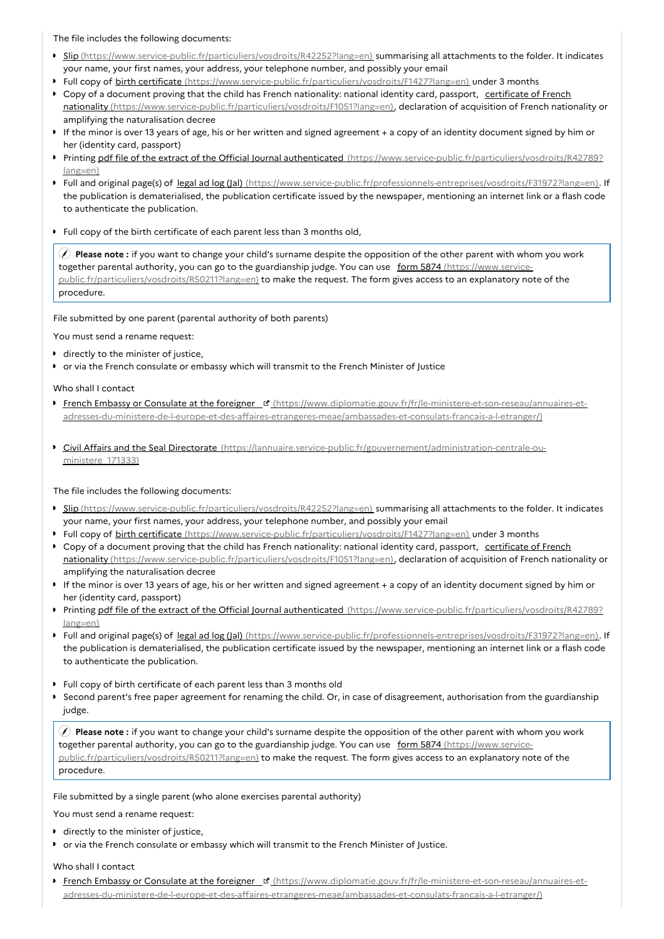The file includes the following documents:

- Slip [\(https://www.service-public.fr/particuliers/vosdroits/R42252?lang=en\)](https://www.service-public.fr/particuliers/vosdroits/R42252?lang=en) summarising all attachments to the folder. It indicates your name, your first names, your address, your telephone number, and possibly your email
- Full copy of birth certificate [\(https://www.service-public.fr/particuliers/vosdroits/F1427?lang=en\)](https://www.service-public.fr/particuliers/vosdroits/F1427?lang=en) under 3 months
- Copy of a document proving that the child has French nationality: national identity card, passport, certificate of French nationality [\(https://www.service-public.fr/particuliers/vosdroits/F1051?lang=en\),](https://www.service-public.fr/particuliers/vosdroits/F1051?lang=en) declaration of acquisition of French nationality or amplifying the naturalisation decree
- If the minor is over 13 years of age, his or her written and signed agreement + a copy of an identity document signed by him or her (identity card, passport)
- Printing pdf file of the extract of the Official Journal authenticated [\(https://www.service-public.fr/particuliers/vosdroits/R42789?](https://www.service-public.fr/particuliers/vosdroits/R42789?lang=en) lang=en)
- ▶ Full and original page(s) of legal ad log (Jal) [\(https://www.service-public.fr/professionnels-entreprises/vosdroits/F31972?lang=en\)](https://www.service-public.fr/professionnels-entreprises/vosdroits/F31972?lang=en). If the publication is dematerialised, the publication certificate issued by the newspaper, mentioning an internet link or a flash code to authenticate the publication.
- Full copy of the birth certificate of each parent less than 3 months old,

 **Please note :** if you want to change your child's surname despite the opposition of the other parent with whom you work together parental authority, you can go to the guardianship judge. You can use form 5874 (https://www.service[public.fr/particuliers/vosdroits/R50211?lang=en\)](https://www.service-public.fr/particuliers/vosdroits/R50211?lang=en) to make the request. The form gives access to an explanatory note of the procedure.

#### File submitted by one parent (parental authority of both parents)

You must send a rename request:

- **directly to the minister of justice,**
- or via the French consulate or embassy which will transmit to the French Minister of Justice

Who shall I contact

- French Embassy or Consulate at the foreigner [d] (https://www.diplomatie.gouv.fr/fr/le-ministere-et-son-reseau/annuaires-et[adresses-du-ministere-de-l-europe-et-des-affaires-etrangeres-meae/ambassades-et-consulats-francais-a-l-etranger/\)](https://www.diplomatie.gouv.fr/fr/le-ministere-et-son-reseau/annuaires-et-adresses-du-ministere-de-l-europe-et-des-affaires-etrangeres-meae/ambassades-et-consulats-francais-a-l-etranger/)
- Civil Affairs and the Seal Directorate [\(https://lannuaire.service-public.fr/gouvernement/administration-centrale-ou](https://lannuaire.service-public.fr/gouvernement/administration-centrale-ou-ministere_171333)ministere\_171333)

The file includes the following documents:

- Slip [\(https://www.service-public.fr/particuliers/vosdroits/R42252?lang=en\)](https://www.service-public.fr/particuliers/vosdroits/R42252?lang=en) summarising all attachments to the folder. It indicates your name, your first names, your address, your telephone number, and possibly your email
- Full copy of birth certificate [\(https://www.service-public.fr/particuliers/vosdroits/F1427?lang=en\)](https://www.service-public.fr/particuliers/vosdroits/F1427?lang=en) under 3 months
- Copy of a document proving that the child has French nationality: national identity card, passport, certificate of French nationality [\(https://www.service-public.fr/particuliers/vosdroits/F1051?lang=en\),](https://www.service-public.fr/particuliers/vosdroits/F1051?lang=en) declaration of acquisition of French nationality or amplifying the naturalisation decree
- If the minor is over 13 years of age, his or her written and signed agreement + a copy of an identity document signed by him or her (identity card, passport)
- Printing pdf file of the extract of the Official Journal authenticated [\(https://www.service-public.fr/particuliers/vosdroits/R42789?](https://www.service-public.fr/particuliers/vosdroits/R42789?lang=en) lang=en)
- Full and original page(s) of legal ad log (Jal) [\(https://www.service-public.fr/professionnels-entreprises/vosdroits/F31972?lang=en\)](https://www.service-public.fr/professionnels-entreprises/vosdroits/F31972?lang=en). If the publication is dematerialised, the publication certificate issued by the newspaper, mentioning an internet link or a flash code to authenticate the publication.
- Full copy of birth certificate of each parent less than 3 months old
- Second parent's free paper agreement for renaming the child. Or, in case of disagreement, authorisation from the guardianship judge.

 **Please note :** if you want to change your child's surname despite the opposition of the other parent with whom you work together parental authority, you can go to the guardianship judge. You can use form 5874 (https://www.service[public.fr/particuliers/vosdroits/R50211?lang=en\)](https://www.service-public.fr/particuliers/vosdroits/R50211?lang=en) to make the request. The form gives access to an explanatory note of the procedure.

File submitted by a single parent (who alone exercises parental authority)

You must send a rename request:

- **directly to the minister of justice,**
- or via the French consulate or embassy which will transmit to the French Minister of Justice.

Who shall I contact

French Embassy or Consulate at the foreigner F (https://www.diplomatie.gouv.fr/fr/le-ministere-et-son-reseau/annuaires-et[adresses-du-ministere-de-l-europe-et-des-affaires-etrangeres-meae/ambassades-et-consulats-francais-a-l-etranger/\)](https://www.diplomatie.gouv.fr/fr/le-ministere-et-son-reseau/annuaires-et-adresses-du-ministere-de-l-europe-et-des-affaires-etrangeres-meae/ambassades-et-consulats-francais-a-l-etranger/)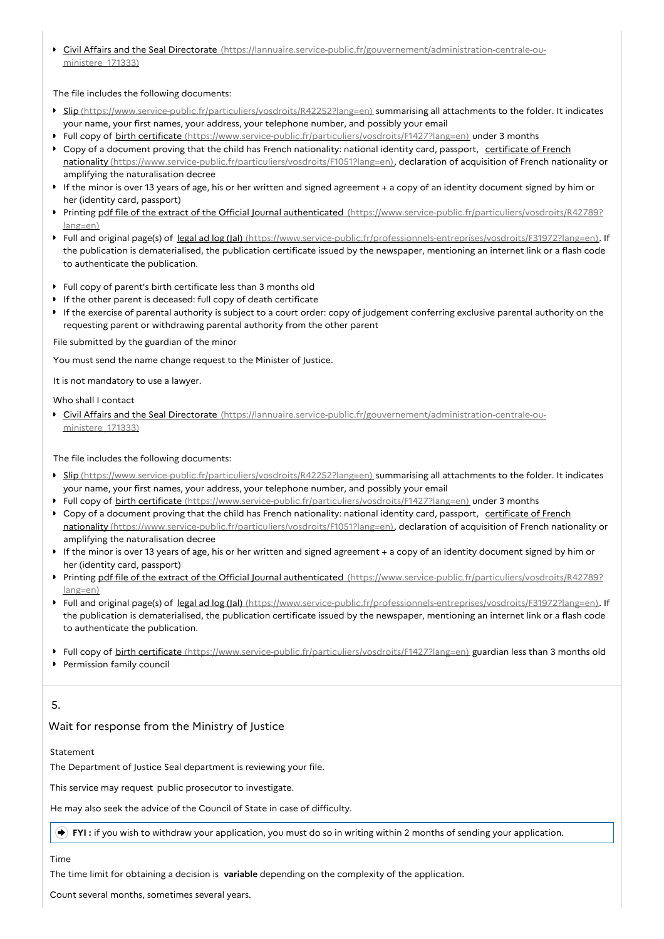Civil Affairs and the Seal Directorate [\(https://lannuaire.service-public.fr/gouvernement/administration-centrale-ou](https://lannuaire.service-public.fr/gouvernement/administration-centrale-ou-ministere_171333)ministere\_171333)

#### The file includes the following documents:

- Slip [\(https://www.service-public.fr/particuliers/vosdroits/R42252?lang=en\)](https://www.service-public.fr/particuliers/vosdroits/R42252?lang=en) summarising all attachments to the folder. It indicates your name, your first names, your address, your telephone number, and possibly your email
- Full copy of birth certificate [\(https://www.service-public.fr/particuliers/vosdroits/F1427?lang=en\)](https://www.service-public.fr/particuliers/vosdroits/F1427?lang=en) under 3 months
- Copy of a document proving that the child has French nationality: national identity card, passport, certificate of French nationality [\(https://www.service-public.fr/particuliers/vosdroits/F1051?lang=en\),](https://www.service-public.fr/particuliers/vosdroits/F1051?lang=en) declaration of acquisition of French nationality or amplifying the naturalisation decree
- If the minor is over 13 years of age, his or her written and signed agreement + a copy of an identity document signed by him or her (identity card, passport)
- Printing pdf file of the extract of the Official Journal authenticated [\(https://www.service-public.fr/particuliers/vosdroits/R42789?](https://www.service-public.fr/particuliers/vosdroits/R42789?lang=en) lang=en)
- Full and original page(s) of legal ad log (Jal) [\(https://www.service-public.fr/professionnels-entreprises/vosdroits/F31972?lang=en\)](https://www.service-public.fr/professionnels-entreprises/vosdroits/F31972?lang=en). If the publication is dematerialised, the publication certificate issued by the newspaper, mentioning an internet link or a flash code to authenticate the publication.
- Full copy of parent's birth certificate less than 3 months old
- If the other parent is deceased: full copy of death certificate
- If the exercise of parental authority is subject to a court order: copy of judgement conferring exclusive parental authority on the requesting parent or withdrawing parental authority from the other parent

File submitted by the guardian of the minor

You must send the name change request to the Minister of Justice.

It is not mandatory to use a lawyer.

#### Who shall I contact

**Fivil Affairs and the Seal Directorate** [\(https://lannuaire.service-public.fr/gouvernement/administration-centrale-ou](https://lannuaire.service-public.fr/gouvernement/administration-centrale-ou-ministere_171333)ministere\_171333)

#### The file includes the following documents:

- Slip [\(https://www.service-public.fr/particuliers/vosdroits/R42252?lang=en\)](https://www.service-public.fr/particuliers/vosdroits/R42252?lang=en) summarising all attachments to the folder. It indicates your name, your first names, your address, your telephone number, and possibly your email
- Full copy of birth certificate [\(https://www.service-public.fr/particuliers/vosdroits/F1427?lang=en\)](https://www.service-public.fr/particuliers/vosdroits/F1427?lang=en) under 3 months
- Copy of a document proving that the child has French nationality: national identity card, passport, certificate of French nationality [\(https://www.service-public.fr/particuliers/vosdroits/F1051?lang=en\),](https://www.service-public.fr/particuliers/vosdroits/F1051?lang=en) declaration of acquisition of French nationality or amplifying the naturalisation decree
- If the minor is over 13 years of age, his or her written and signed agreement + a copy of an identity document signed by him or her (identity card, passport)
- Printing pdf file of the extract of the Official Journal authenticated [\(https://www.service-public.fr/particuliers/vosdroits/R42789?](https://www.service-public.fr/particuliers/vosdroits/R42789?lang=en) lang=en)
- ▶ Full and original page(s) of legal ad log (Jal) [\(https://www.service-public.fr/professionnels-entreprises/vosdroits/F31972?lang=en\)](https://www.service-public.fr/professionnels-entreprises/vosdroits/F31972?lang=en). If the publication is dematerialised, the publication certificate issued by the newspaper, mentioning an internet link or a flash code to authenticate the publication.
- Full copy of birth certificate [\(https://www.service-public.fr/particuliers/vosdroits/F1427?lang=en\)](https://www.service-public.fr/particuliers/vosdroits/F1427?lang=en) guardian less than 3 months old
- **Permission family council**

# 5.

# Wait for response from the Ministry of Justice

#### Statement

The Department of Justice Seal department is reviewing your file.

This service may request public prosecutor to investigate.

He may also seek the advice of the Council of State in case of difficulty.

**FYI :** if you wish to withdraw your application, you must do so in writing within 2 months of sending your application.

#### Time

The time limit for obtaining a decision is **variable** depending on the complexity of the application.

Count several months, sometimes several years.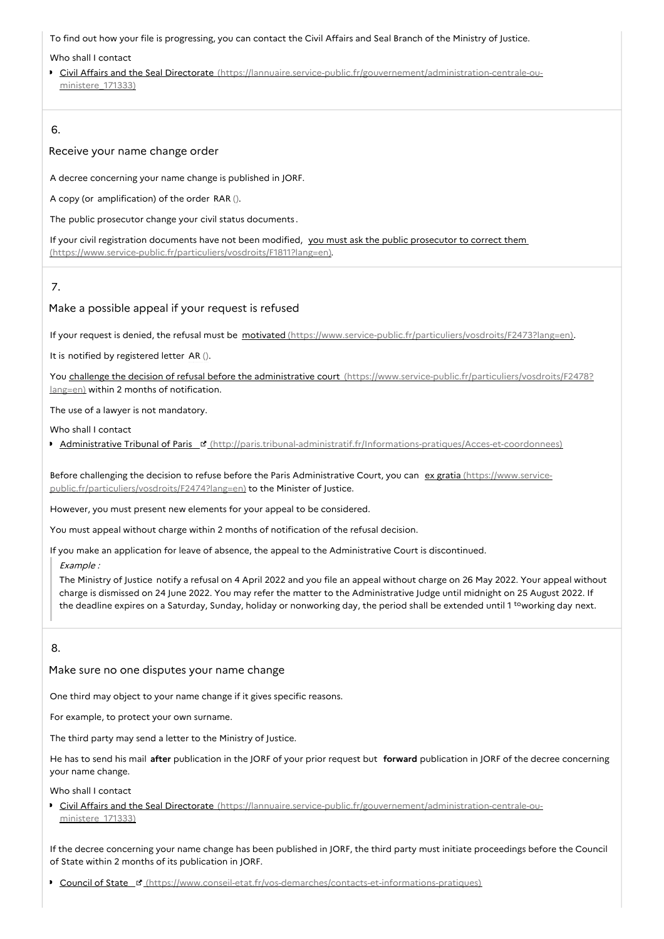To find out how your file is progressing, you can contact the Civil Affairs and Seal Branch of the Ministry of Justice.

#### Who shall I contact

Civil Affairs and the Seal Directorate [\(https://lannuaire.service-public.fr/gouvernement/administration-centrale-ou](https://lannuaire.service-public.fr/gouvernement/administration-centrale-ou-ministere_171333)ministere\_171333)

# 6.

#### Receive your name change order

A decree concerning your name change is published in JORF.

A copy (or amplification) of the order RAR ().

The public prosecutor change your civil status documents .

If your civil registration documents have not been modified, you must ask the public prosecutor to correct them [\(https://www.service-public.fr/particuliers/vosdroits/F1811?lang=en\).](https://www.service-public.fr/particuliers/vosdroits/F1811?lang=en)

# 7.

# Make a possible appeal if your request is refused

If your request is denied, the refusal must be motivated [\(https://www.service-public.fr/particuliers/vosdroits/F2473?lang=en\)](https://www.service-public.fr/particuliers/vosdroits/F2473?lang=en).

It is notified by registered letter AR ().

You challenge the decision of refusal before the administrative court [\(https://www.service-public.fr/particuliers/vosdroits/F2478?](https://www.service-public.fr/particuliers/vosdroits/F2478?lang=en) lang=en) within 2 months of notification.

The use of a lawyer is not mandatory.

Who shall I contact

**Administrative Tribunal of Paris** E [\(http://paris.tribunal-administratif.fr/Informations-pratiques/Acces-et-coordonnees\)](http://paris.tribunal-administratif.fr/Informations-pratiques/Acces-et-coordonnees)

Before challenging the decision to refuse before the Paris Administrative Court, you can ex gratia (https://www.service[public.fr/particuliers/vosdroits/F2474?lang=en\)](https://www.service-public.fr/particuliers/vosdroits/F2474?lang=en) to the Minister of Justice.

However, you must present new elements for your appeal to be considered.

You must appeal without charge within 2 months of notification of the refusal decision.

If you make an application for leave of absence, the appeal to the Administrative Court is discontinued.

Example :

The Ministry of Justice notify a refusal on 4 April 2022 and you file an appeal without charge on 26 May 2022. Your appeal without charge is dismissed on 24 June 2022. You may refer the matter to the Administrative Judge until midnight on 25 August 2022. If the deadline expires on a Saturday, Sunday, holiday or nonworking day, the period shall be extended until 1 <sup>to</sup>working day next.

# 8.

Make sure no one disputes your name change

One third may object to your name change if it gives specific reasons.

For example, to protect your own surname.

The third party may send a letter to the Ministry of Justice.

He has to send his mail **after** publication in the JORF of your prior request but **forward** publication in JORF of the decree concerning your name change.

Who shall I contact

■ Civil Affairs and the Seal Directorate [\(https://lannuaire.service-public.fr/gouvernement/administration-centrale-ou](https://lannuaire.service-public.fr/gouvernement/administration-centrale-ou-ministere_171333)ministere 171333)

If the decree concerning your name change has been published in JORF, the third party must initiate proceedings before the Council of State within 2 months of its publication in JORF.

**Council of State F** [\(https://www.conseil-etat.fr/vos-demarches/contacts-et-informations-pratiques\)](https://www.conseil-etat.fr/vos-demarches/contacts-et-informations-pratiques)